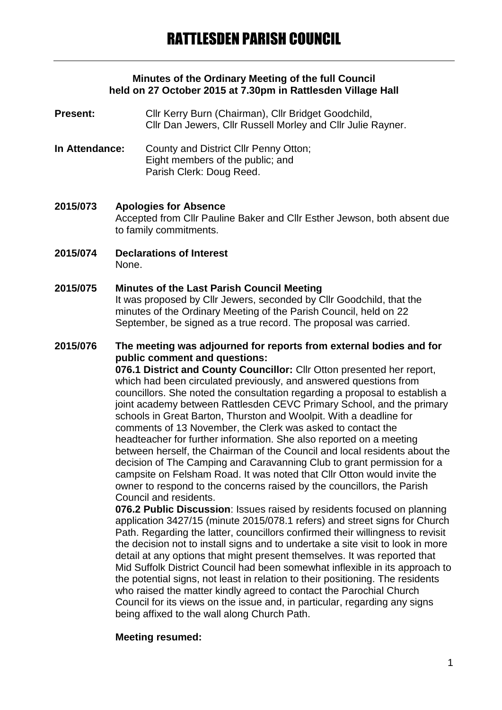### **Minutes of the Ordinary Meeting of the full Council held on 27 October 2015 at 7.30pm in Rattlesden Village Hall**

- **Present:** Cllr Kerry Burn (Chairman), Cllr Bridget Goodchild, Cllr Dan Jewers, Cllr Russell Morley and Cllr Julie Rayner.
- **In Attendance:** County and District Cllr Penny Otton; Eight members of the public; and Parish Clerk: Doug Reed.
- **2015/073 Apologies for Absence** Accepted from Cllr Pauline Baker and Cllr Esther Jewson, both absent due to family commitments.
- **2015/074 Declarations of Interest** None.
- **2015/075 Minutes of the Last Parish Council Meeting** It was proposed by Cllr Jewers, seconded by Cllr Goodchild, that the minutes of the Ordinary Meeting of the Parish Council, held on 22 September, be signed as a true record. The proposal was carried.
- **2015/076 The meeting was adjourned for reports from external bodies and for public comment and questions: 076.1 District and County Councillor:** Cllr Otton presented her report, which had been circulated previously, and answered questions from councillors. She noted the consultation regarding a proposal to establish a joint academy between Rattlesden CEVC Primary School, and the primary schools in Great Barton, Thurston and Woolpit. With a deadline for comments of 13 November, the Clerk was asked to contact the headteacher for further information. She also reported on a meeting between herself, the Chairman of the Council and local residents about the decision of The Camping and Caravanning Club to grant permission for a campsite on Felsham Road. It was noted that Cllr Otton would invite the owner to respond to the concerns raised by the councillors, the Parish Council and residents.

**076.2 Public Discussion**: Issues raised by residents focused on planning application 3427/15 (minute 2015/078.1 refers) and street signs for Church Path. Regarding the latter, councillors confirmed their willingness to revisit the decision not to install signs and to undertake a site visit to look in more detail at any options that might present themselves. It was reported that Mid Suffolk District Council had been somewhat inflexible in its approach to the potential signs, not least in relation to their positioning. The residents who raised the matter kindly agreed to contact the Parochial Church Council for its views on the issue and, in particular, regarding any signs being affixed to the wall along Church Path.

# **Meeting resumed:**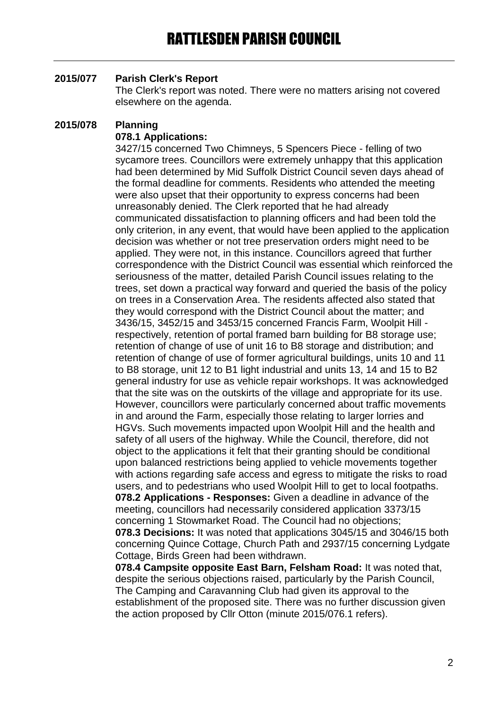# **2015/077 Parish Clerk's Report**

The Clerk's report was noted. There were no matters arising not covered elsewhere on the agenda.

# **2015/078 Planning**

# **078.1 Applications:**

3427/15 concerned Two Chimneys, 5 Spencers Piece - felling of two sycamore trees. Councillors were extremely unhappy that this application had been determined by Mid Suffolk District Council seven days ahead of the formal deadline for comments. Residents who attended the meeting were also upset that their opportunity to express concerns had been unreasonably denied. The Clerk reported that he had already communicated dissatisfaction to planning officers and had been told the only criterion, in any event, that would have been applied to the application decision was whether or not tree preservation orders might need to be applied. They were not, in this instance. Councillors agreed that further correspondence with the District Council was essential which reinforced the seriousness of the matter, detailed Parish Council issues relating to the trees, set down a practical way forward and queried the basis of the policy on trees in a Conservation Area. The residents affected also stated that they would correspond with the District Council about the matter; and 3436/15, 3452/15 and 3453/15 concerned Francis Farm, Woolpit Hill respectively, retention of portal framed barn building for B8 storage use; retention of change of use of unit 16 to B8 storage and distribution; and retention of change of use of former agricultural buildings, units 10 and 11 to B8 storage, unit 12 to B1 light industrial and units 13, 14 and 15 to B2 general industry for use as vehicle repair workshops. It was acknowledged that the site was on the outskirts of the village and appropriate for its use. However, councillors were particularly concerned about traffic movements in and around the Farm, especially those relating to larger lorries and HGVs. Such movements impacted upon Woolpit Hill and the health and safety of all users of the highway. While the Council, therefore, did not object to the applications it felt that their granting should be conditional upon balanced restrictions being applied to vehicle movements together with actions regarding safe access and egress to mitigate the risks to road users, and to pedestrians who used Woolpit Hill to get to local footpaths. **078.2 Applications - Responses:** Given a deadline in advance of the meeting, councillors had necessarily considered application 3373/15 concerning 1 Stowmarket Road. The Council had no objections; **078.3 Decisions:** It was noted that applications 3045/15 and 3046/15 both concerning Quince Cottage, Church Path and 2937/15 concerning Lydgate Cottage, Birds Green had been withdrawn.

**078.4 Campsite opposite East Barn, Felsham Road:** It was noted that, despite the serious objections raised, particularly by the Parish Council, The Camping and Caravanning Club had given its approval to the establishment of the proposed site. There was no further discussion given the action proposed by Cllr Otton (minute 2015/076.1 refers).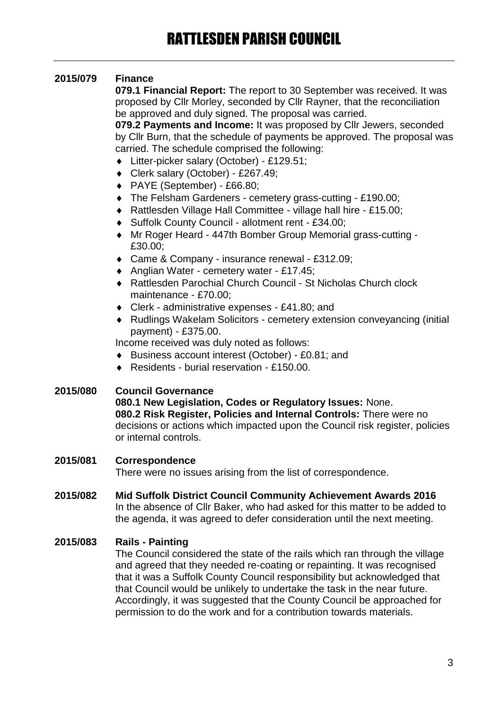# **2015/079 Finance**

**079.1 Financial Report:** The report to 30 September was received. It was proposed by Cllr Morley, seconded by Cllr Rayner, that the reconciliation be approved and duly signed. The proposal was carried.

**079.2 Payments and Income:** It was proposed by Cllr Jewers, seconded by Cllr Burn, that the schedule of payments be approved. The proposal was carried. The schedule comprised the following:

- Litter-picker salary (October) £129.51;
- Clerk salary (October) £267.49;
- PAYE (September) £66.80;
- The Felsham Gardeners cemetery grass-cutting £190.00;
- Rattlesden Village Hall Committee village hall hire £15.00;
- Suffolk County Council allotment rent £34.00;
- Mr Roger Heard 447th Bomber Group Memorial grass-cutting £30.00;
- ◆ Came & Company insurance renewal £312.09;
- Anglian Water cemetery water £17.45;
- Rattlesden Parochial Church Council St Nicholas Church clock maintenance - £70.00;
- Clerk administrative expenses £41.80; and
- Rudlings Wakelam Solicitors cemetery extension conveyancing (initial payment) - £375.00.

Income received was duly noted as follows:

- Business account interest (October) £0.81; and
- ◆ Residents burial reservation £150.00.

# **2015/080 Council Governance**

**080.1 New Legislation, Codes or Regulatory Issues:** None. **080.2 Risk Register, Policies and Internal Controls:** There were no decisions or actions which impacted upon the Council risk register, policies or internal controls.

# **2015/081 Correspondence**

There were no issues arising from the list of correspondence.

### **2015/082 Mid Suffolk District Council Community Achievement Awards 2016** In the absence of Cllr Baker, who had asked for this matter to be added to the agenda, it was agreed to defer consideration until the next meeting.

# **2015/083 Rails - Painting**

The Council considered the state of the rails which ran through the village and agreed that they needed re-coating or repainting. It was recognised that it was a Suffolk County Council responsibility but acknowledged that that Council would be unlikely to undertake the task in the near future. Accordingly, it was suggested that the County Council be approached for permission to do the work and for a contribution towards materials.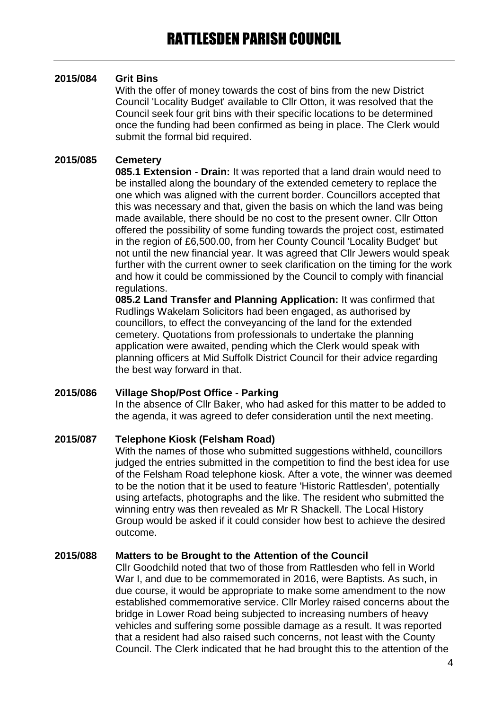# **2015/084 Grit Bins**

With the offer of money towards the cost of bins from the new District Council 'Locality Budget' available to Cllr Otton, it was resolved that the Council seek four grit bins with their specific locations to be determined once the funding had been confirmed as being in place. The Clerk would submit the formal bid required.

# **2015/085 Cemetery**

**085.1 Extension - Drain:** It was reported that a land drain would need to be installed along the boundary of the extended cemetery to replace the one which was aligned with the current border. Councillors accepted that this was necessary and that, given the basis on which the land was being made available, there should be no cost to the present owner. Cllr Otton offered the possibility of some funding towards the project cost, estimated in the region of £6,500.00, from her County Council 'Locality Budget' but not until the new financial year. It was agreed that Cllr Jewers would speak further with the current owner to seek clarification on the timing for the work and how it could be commissioned by the Council to comply with financial regulations.

**085.2 Land Transfer and Planning Application:** It was confirmed that Rudlings Wakelam Solicitors had been engaged, as authorised by councillors, to effect the conveyancing of the land for the extended cemetery. Quotations from professionals to undertake the planning application were awaited, pending which the Clerk would speak with planning officers at Mid Suffolk District Council for their advice regarding the best way forward in that.

# **2015/086 Village Shop/Post Office - Parking**

In the absence of Cllr Baker, who had asked for this matter to be added to the agenda, it was agreed to defer consideration until the next meeting.

# **2015/087 Telephone Kiosk (Felsham Road)**

With the names of those who submitted suggestions withheld, councillors judged the entries submitted in the competition to find the best idea for use of the Felsham Road telephone kiosk. After a vote, the winner was deemed to be the notion that it be used to feature 'Historic Rattlesden', potentially using artefacts, photographs and the like. The resident who submitted the winning entry was then revealed as Mr R Shackell. The Local History Group would be asked if it could consider how best to achieve the desired outcome.

# **2015/088 Matters to be Brought to the Attention of the Council**

Cllr Goodchild noted that two of those from Rattlesden who fell in World War I, and due to be commemorated in 2016, were Baptists. As such, in due course, it would be appropriate to make some amendment to the now established commemorative service. Cllr Morley raised concerns about the bridge in Lower Road being subjected to increasing numbers of heavy vehicles and suffering some possible damage as a result. It was reported that a resident had also raised such concerns, not least with the County Council. The Clerk indicated that he had brought this to the attention of the